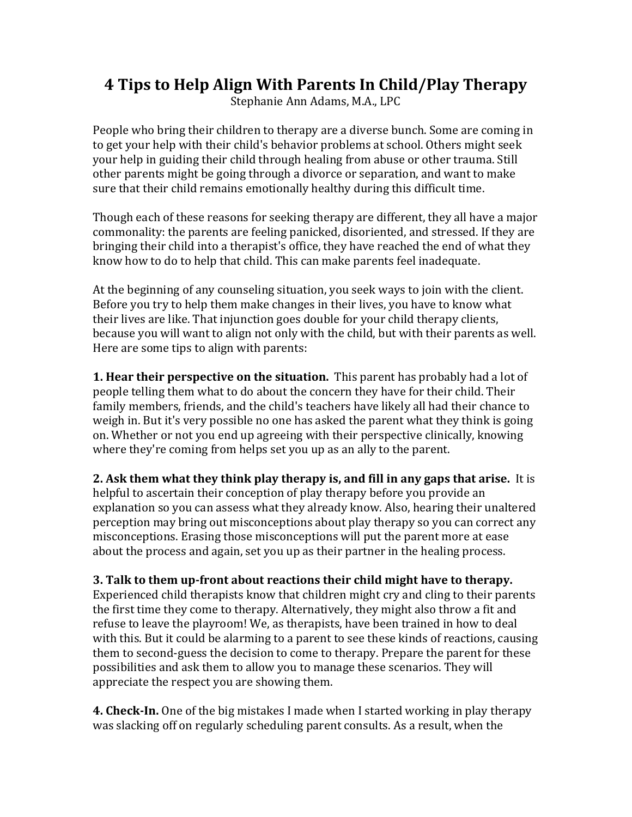## **4 Tips to Help Align With Parents In Child/Play Therapy**

Stephanie Ann Adams, M.A., LPC

People who bring their children to therapy are a diverse bunch. Some are coming in to get your help with their child's behavior problems at school. Others might seek your help in guiding their child through healing from abuse or other trauma. Still other parents might be going through a divorce or separation, and want to make sure that their child remains emotionally healthy during this difficult time.

Though each of these reasons for seeking therapy are different, they all have a major commonality: the parents are feeling panicked, disoriented, and stressed. If they are bringing their child into a therapist's office, they have reached the end of what they know how to do to help that child. This can make parents feel inadequate.

At the beginning of any counseling situation, you seek ways to join with the client. Before you try to help them make changes in their lives, you have to know what their lives are like. That injunction goes double for your child therapy clients, because you will want to align not only with the child, but with their parents as well. Here are some tips to align with parents:

**1. Hear their perspective on the situation.** This parent has probably had a lot of people telling them what to do about the concern they have for their child. Their family members, friends, and the child's teachers have likely all had their chance to weigh in. But it's very possible no one has asked the parent what they think is going on. Whether or not you end up agreeing with their perspective clinically, knowing where they're coming from helps set you up as an ally to the parent.

**2. Ask them what they think play therapy is, and fill in any gaps that arise.** It is helpful to ascertain their conception of play therapy before you provide an explanation so you can assess what they already know. Also, hearing their unaltered perception may bring out misconceptions about play therapy so you can correct any misconceptions. Erasing those misconceptions will put the parent more at ease about the process and again, set you up as their partner in the healing process.

**3. Talk to them upfront about reactions their child might have to therapy.** Experienced child therapists know that children might cry and cling to their parents the first time they come to therapy. Alternatively, they might also throw a fit and refuse to leave the playroom! We, as therapists, have been trained in how to deal with this. But it could be alarming to a parent to see these kinds of reactions, causing them to second‐guess the decision to come to therapy. Prepare the parent for these possibilities and ask them to allow you to manage these scenarios. They will appreciate the respect you are showing them.

**4. CheckIn.** One of the big mistakes I made when I started working in play therapy was slacking off on regularly scheduling parent consults. As a result, when the